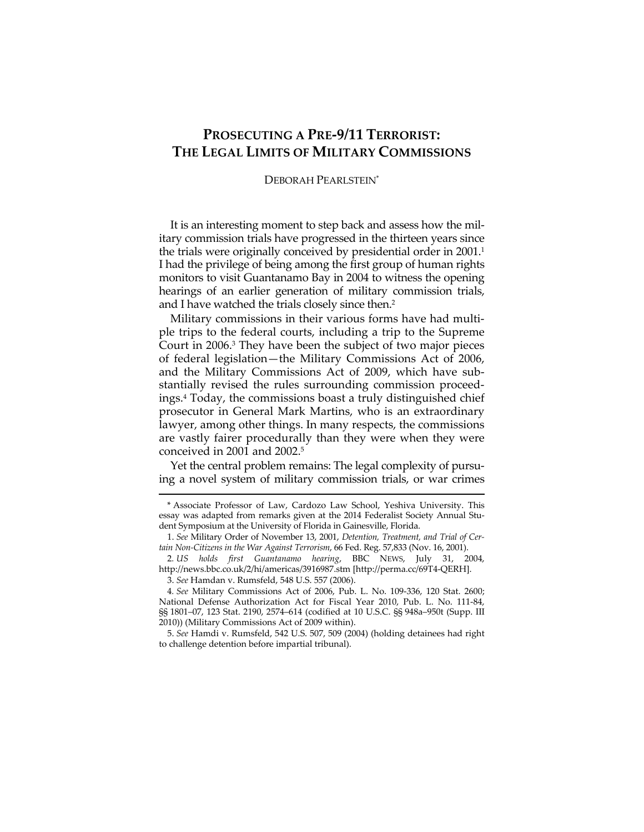## **PROSECUTING A PRE-9/11 TERRORIST: THE LEGAL LIMITS OF MILITARY COMMISSIONS**

## DEBORAH PEARLSTEIN\*

It is an interesting moment to step back and assess how the military commission trials have progressed in the thirteen years since the trials were originally conceived by presidential order in 2001.<sup>1</sup> I had the privilege of being among the first group of human rights monitors to visit Guantanamo Bay in 2004 to witness the opening hearings of an earlier generation of military commission trials, and I have watched the trials closely since then.2

Military commissions in their various forms have had multiple trips to the federal courts, including a trip to the Supreme Court in 2006.3 They have been the subject of two major pieces of federal legislation—the Military Commissions Act of 2006, and the Military Commissions Act of 2009, which have substantially revised the rules surrounding commission proceedings.4 Today, the commissions boast a truly distinguished chief prosecutor in General Mark Martins, who is an extraordinary lawyer, among other things. In many respects, the commissions are vastly fairer procedurally than they were when they were conceived in 2001 and 2002.5

Yet the central problem remains: The legal complexity of pursuing a novel system of military commission trials, or war crimes 

<sup>\*</sup> Associate Professor of Law, Cardozo Law School, Yeshiva University. This essay was adapted from remarks given at the 2014 Federalist Society Annual Student Symposium at the University of Florida in Gainesville, Florida.

 <sup>1.</sup> *See* Military Order of November 13, 2001, *Detention, Treatment, and Trial of Certain Non-Citizens in the War Against Terrorism*, 66 Fed. Reg. 57,833 (Nov. 16, 2001).

<sup>2</sup>*. US holds first Guantanamo hearing*, BBC NEWS, July 31, 2004, http://news.bbc.co.uk/2/hi/americas/3916987.stm [http://perma.cc/69T4-QERH].

 <sup>3.</sup> *See* Hamdan v. Rumsfeld, 548 U.S. 557 (2006).

<sup>4</sup>*. See* Military Commissions Act of 2006, Pub. L. No. 109-336, 120 Stat. 2600; National Defense Authorization Act for Fiscal Year 2010, Pub. L. No. 111-84, §§ 1801–07, 123 Stat. 2190, 2574–614 (codified at 10 U.S.C. §§ 948a–950t (Supp. III 2010)) (Military Commissions Act of 2009 within).

 <sup>5.</sup> *See* Hamdi v. Rumsfeld, 542 U.S. 507, 509 (2004) (holding detainees had right to challenge detention before impartial tribunal).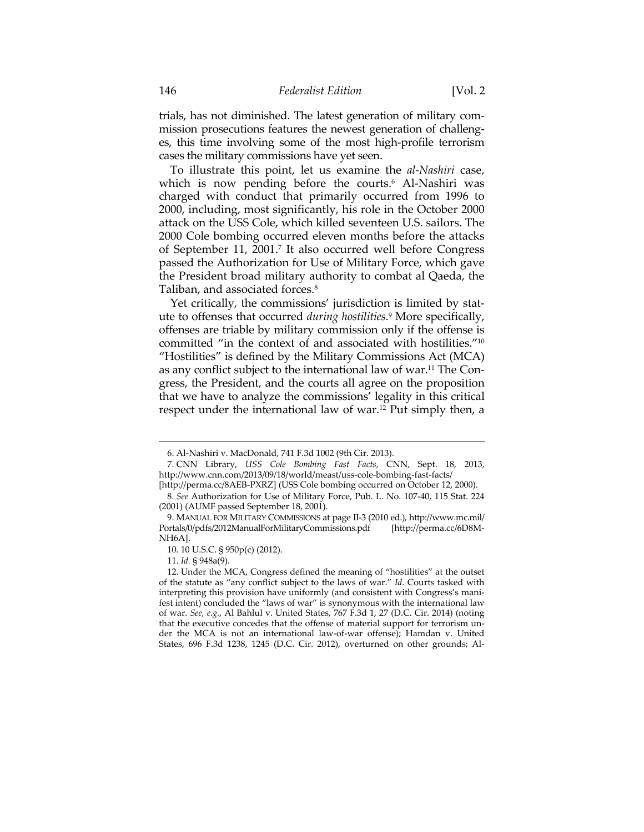trials, has not diminished. The latest generation of military commission prosecutions features the newest generation of challenges, this time involving some of the most high-profile terrorism cases the military commissions have yet seen.

To illustrate this point, let us examine the *al-Nashiri* case, which is now pending before the courts.<sup>6</sup> Al-Nashiri was charged with conduct that primarily occurred from 1996 to 2000, including, most significantly, his role in the October 2000 attack on the USS Cole, which killed seventeen U.S. sailors. The 2000 Cole bombing occurred eleven months before the attacks of September 11, 2001.7 It also occurred well before Congress passed the Authorization for Use of Military Force, which gave the President broad military authority to combat al Qaeda, the Taliban, and associated forces.8

Yet critically, the commissions' jurisdiction is limited by statute to offenses that occurred *during hostilities*. 9 More specifically, offenses are triable by military commission only if the offense is committed "in the context of and associated with hostilities."10 "Hostilities" is defined by the Military Commissions Act (MCA) as any conflict subject to the international law of war.11 The Congress, the President, and the courts all agree on the proposition that we have to analyze the commissions' legality in this critical respect under the international law of war.12 Put simply then, a

 <sup>6.</sup> Al-Nashiri v. MacDonald, 741 F.3d 1002 (9th Cir. 2013).

 <sup>7.</sup> CNN Library, *USS Cole Bombing Fast Facts*, CNN, Sept. 18, 2013, http://www.cnn.com/2013/09/18/world/meast/uss-cole-bombing-fast-facts/

<sup>[</sup>http://perma.cc/8AEB-PXRZ] (USS Cole bombing occurred on October 12, 2000). 8*. See* Authorization for Use of Military Force, Pub. L. No. 107-40, 115 Stat. 224 (2001) (AUMF passed September 18, 2001).

 <sup>9.</sup> MANUAL FOR MILITARY COMMISSIONS at page II-3 (2010 ed.), http://www.mc.mil/ Portals/0/pdfs/2012ManualForMilitaryCommissions.pdf [http://perma.cc/6D8M-NH6A].

 <sup>10. 10</sup> U.S.C. § 950p(c) (2012).

 <sup>11.</sup> *Id.* § 948a(9).

 <sup>12.</sup> Under the MCA, Congress defined the meaning of "hostilities" at the outset of the statute as "any conflict subject to the laws of war." *Id.* Courts tasked with interpreting this provision have uniformly (and consistent with Congress's manifest intent) concluded the "laws of war" is synonymous with the international law of war. *See, e.g.*, Al Bahlul v. United States, 767 F.3d 1, 27 (D.C. Cir. 2014) (noting that the executive concedes that the offense of material support for terrorism under the MCA is not an international law-of-war offense); Hamdan v. United States, 696 F.3d 1238, 1245 (D.C. Cir. 2012), overturned on other grounds; Al-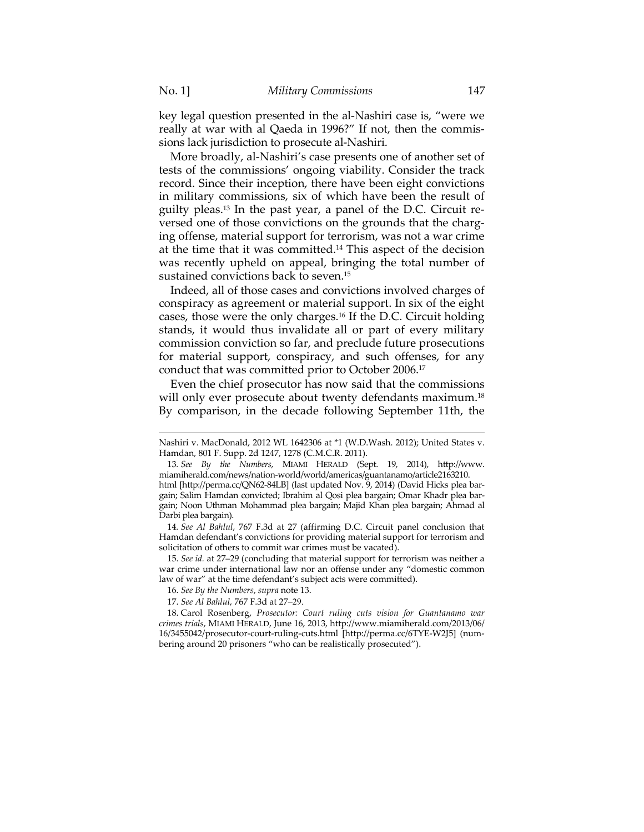key legal question presented in the al-Nashiri case is, "were we really at war with al Qaeda in 1996?" If not, then the commissions lack jurisdiction to prosecute al-Nashiri.

More broadly, al-Nashiri's case presents one of another set of tests of the commissions' ongoing viability. Consider the track record. Since their inception, there have been eight convictions in military commissions, six of which have been the result of guilty pleas.13 In the past year, a panel of the D.C. Circuit reversed one of those convictions on the grounds that the charging offense, material support for terrorism, was not a war crime at the time that it was committed.14 This aspect of the decision was recently upheld on appeal, bringing the total number of sustained convictions back to seven.15

Indeed, all of those cases and convictions involved charges of conspiracy as agreement or material support. In six of the eight cases, those were the only charges.16 If the D.C. Circuit holding stands, it would thus invalidate all or part of every military commission conviction so far, and preclude future prosecutions for material support, conspiracy, and such offenses, for any conduct that was committed prior to October 2006.17

Even the chief prosecutor has now said that the commissions will only ever prosecute about twenty defendants maximum.<sup>18</sup> By comparison, in the decade following September 11th, the

 Nashiri v. MacDonald, 2012 WL 1642306 at \*1 (W.D.Wash. 2012); United States v. Hamdan, 801 F. Supp. 2d 1247, 1278 (C.M.C.R. 2011).

<sup>13</sup>*. See By the Numbers*, MIAMI HERALD (Sept. 19, 2014), http://www. miamiherald.com/news/nation-world/world/americas/guantanamo/article2163210. html [http://perma.cc/QN62-84LB] (last updated Nov. 9, 2014) (David Hicks plea bar-

gain; Salim Hamdan convicted; Ibrahim al Qosi plea bargain; Omar Khadr plea bargain; Noon Uthman Mohammad plea bargain; Majid Khan plea bargain; Ahmad al Darbi plea bargain).

<sup>14</sup>*. See Al Bahlul*, 767 F.3d at 27 (affirming D.C. Circuit panel conclusion that Hamdan defendant's convictions for providing material support for terrorism and solicitation of others to commit war crimes must be vacated).

 <sup>15.</sup> *See id.* at 27–29 (concluding that material support for terrorism was neither a war crime under international law nor an offense under any "domestic common law of war" at the time defendant's subject acts were committed).

<sup>16.</sup> *See By the Numbers*, *supra* note 13.

 <sup>17.</sup> *See Al Bahlul*, 767 F.3d at 27–29.

 <sup>18.</sup> Carol Rosenberg, *Prosecutor: Court ruling cuts vision for Guantanamo war crimes trials*, MIAMI HERALD, June 16, 2013, http://www.miamiherald.com/2013/06/ 16/3455042/prosecutor-court-ruling-cuts.html [http://perma.cc/6TYE-W2J5] (numbering around 20 prisoners "who can be realistically prosecuted").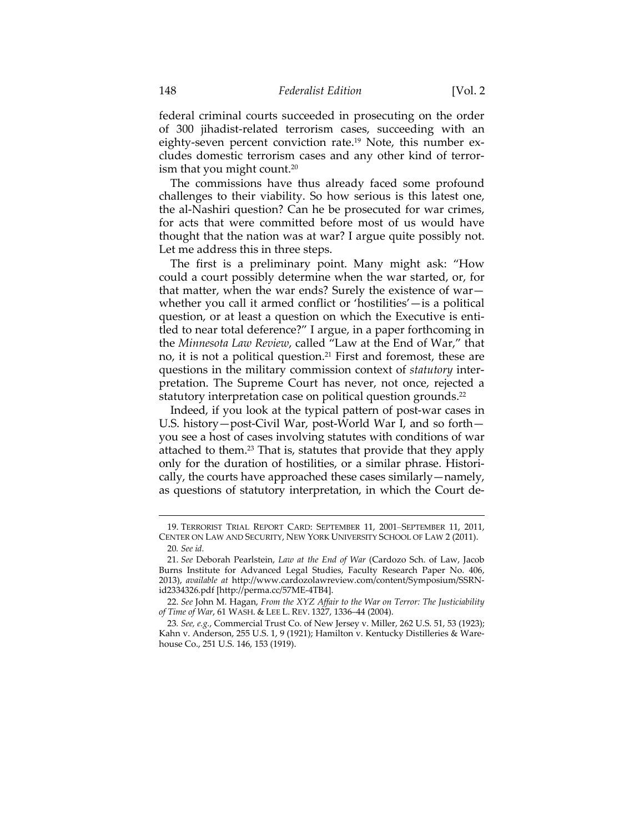federal criminal courts succeeded in prosecuting on the order of 300 jihadist-related terrorism cases, succeeding with an eighty-seven percent conviction rate.<sup>19</sup> Note, this number excludes domestic terrorism cases and any other kind of terrorism that you might count.<sup>20</sup>

The commissions have thus already faced some profound challenges to their viability. So how serious is this latest one, the al-Nashiri question? Can he be prosecuted for war crimes, for acts that were committed before most of us would have thought that the nation was at war? I argue quite possibly not. Let me address this in three steps.

The first is a preliminary point. Many might ask: "How could a court possibly determine when the war started, or, for that matter, when the war ends? Surely the existence of war whether you call it armed conflict or 'hostilities'—is a political question, or at least a question on which the Executive is entitled to near total deference?" I argue, in a paper forthcoming in the *Minnesota Law Review*, called "Law at the End of War," that no, it is not a political question.<sup>21</sup> First and foremost, these are questions in the military commission context of *statutory* interpretation. The Supreme Court has never, not once, rejected a statutory interpretation case on political question grounds.<sup>22</sup>

Indeed, if you look at the typical pattern of post-war cases in U.S. history—post-Civil War, post-World War I, and so forth you see a host of cases involving statutes with conditions of war attached to them.23 That is, statutes that provide that they apply only for the duration of hostilities, or a similar phrase. Historically, the courts have approached these cases similarly—namely, as questions of statutory interpretation, in which the Court de-

<sup>&</sup>lt;u> 1989 - Johann Barn, mars ar breithinn ar chuid ann an t-Alban ann an t-Alban ann an t-Alban ann an t-Alban a</u> 19. TERRORIST TRIAL REPORT CARD: SEPTEMBER 11, 2001–SEPTEMBER 11, 2011, CENTER ON LAW AND SECURITY, NEW YORK UNIVERSITY SCHOOL OF LAW 2 (2011). 20*. See id.*

 <sup>21.</sup> *See* Deborah Pearlstein, *Law at the End of War* (Cardozo Sch. of Law, Jacob Burns Institute for Advanced Legal Studies, Faculty Research Paper No. 406, 2013), *available at* http://www.cardozolawreview.com/content/Symposium/SSRNid2334326.pdf [http://perma.cc/57ME-4TB4].

 <sup>22.</sup> *See* John M. Hagan, *From the XYZ Affair to the War on Terror: The Justiciability of Time of War*, 61 WASH. & LEE L. REV. 1327, 1336–44 (2004).

<sup>23</sup>*. See, e.g.*, Commercial Trust Co. of New Jersey v. Miller, 262 U.S. 51, 53 (1923); Kahn v. Anderson, 255 U.S. 1, 9 (1921); Hamilton v. Kentucky Distilleries & Warehouse Co., 251 U.S. 146, 153 (1919).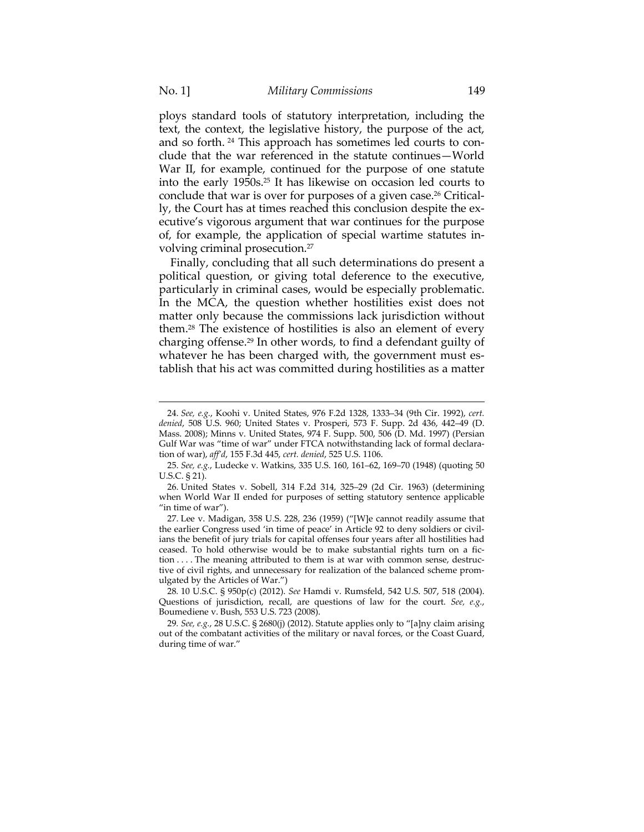ploys standard tools of statutory interpretation, including the text, the context, the legislative history, the purpose of the act, and so forth. 24 This approach has sometimes led courts to conclude that the war referenced in the statute continues—World War II, for example, continued for the purpose of one statute into the early 1950s.25 It has likewise on occasion led courts to conclude that war is over for purposes of a given case.<sup>26</sup> Critically, the Court has at times reached this conclusion despite the executive's vigorous argument that war continues for the purpose of, for example, the application of special wartime statutes involving criminal prosecution.27

Finally, concluding that all such determinations do present a political question, or giving total deference to the executive, particularly in criminal cases, would be especially problematic. In the MCA, the question whether hostilities exist does not matter only because the commissions lack jurisdiction without them.28 The existence of hostilities is also an element of every charging offense.29 In other words, to find a defendant guilty of whatever he has been charged with, the government must establish that his act was committed during hostilities as a matter

 <sup>24.</sup> *See, e.g.*, Koohi v. United States, 976 F.2d 1328, 1333–34 (9th Cir. 1992), *cert. denied*, 508 U.S. 960; United States v. Prosperi, 573 F. Supp. 2d 436, 442–49 (D. Mass. 2008); Minns v. United States, 974 F. Supp. 500, 506 (D. Md. 1997) (Persian Gulf War was "time of war" under FTCA notwithstanding lack of formal declaration of war), *aff'd*, 155 F.3d 445, *cert. denied*, 525 U.S. 1106.

 <sup>25.</sup> *See, e.g.*, Ludecke v. Watkins, 335 U.S. 160, 161–62, 169–70 (1948) (quoting 50 U.S.C. § 21).

 <sup>26.</sup> United States v. Sobell, 314 F.2d 314, 325–29 (2d Cir. 1963) (determining when World War II ended for purposes of setting statutory sentence applicable "in time of war").

 <sup>27.</sup> Lee v. Madigan, 358 U.S. 228, 236 (1959) ("[W]e cannot readily assume that the earlier Congress used 'in time of peace' in Article 92 to deny soldiers or civilians the benefit of jury trials for capital offenses four years after all hostilities had ceased. To hold otherwise would be to make substantial rights turn on a fiction . . . . The meaning attributed to them is at war with common sense, destructive of civil rights, and unnecessary for realization of the balanced scheme promulgated by the Articles of War.")

<sup>28</sup>*.* 10 U.S.C. § 950p(c) (2012). *See* Hamdi v. Rumsfeld, 542 U.S. 507, 518 (2004). Questions of jurisdiction, recall, are questions of law for the court. *See, e.g.*, Boumediene v. Bush, 553 U.S. 723 (2008).

<sup>29</sup>*. See, e.g.*, 28 U.S.C. § 2680(j) (2012). Statute applies only to "[a]ny claim arising out of the combatant activities of the military or naval forces, or the Coast Guard, during time of war."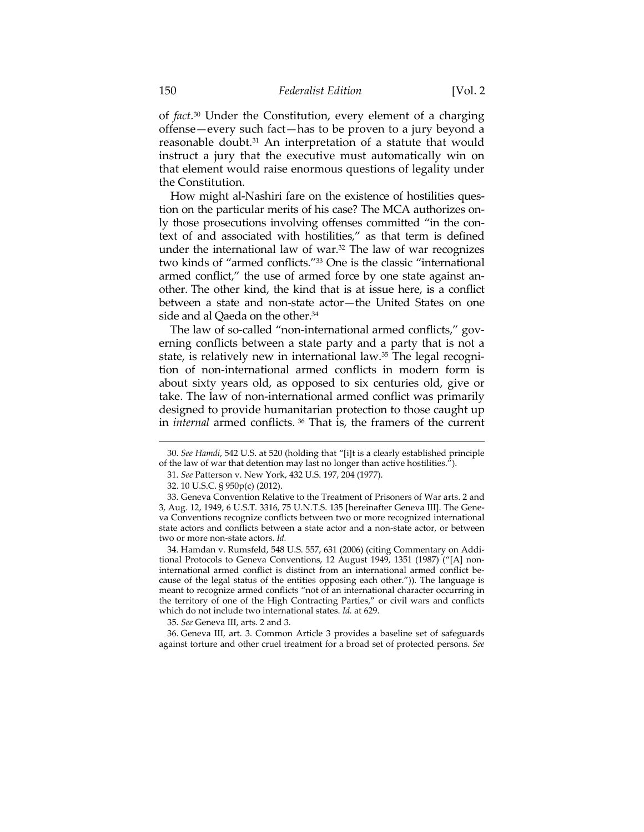of *fact*. 30 Under the Constitution, every element of a charging offense—every such fact—has to be proven to a jury beyond a reasonable doubt.31 An interpretation of a statute that would instruct a jury that the executive must automatically win on that element would raise enormous questions of legality under the Constitution.

How might al-Nashiri fare on the existence of hostilities question on the particular merits of his case? The MCA authorizes only those prosecutions involving offenses committed "in the context of and associated with hostilities," as that term is defined under the international law of war.32 The law of war recognizes two kinds of "armed conflicts."33 One is the classic "international armed conflict," the use of armed force by one state against another. The other kind, the kind that is at issue here, is a conflict between a state and non-state actor—the United States on one side and al Qaeda on the other.<sup>34</sup>

The law of so-called "non-international armed conflicts," governing conflicts between a state party and a party that is not a state, is relatively new in international law.35 The legal recognition of non-international armed conflicts in modern form is about sixty years old, as opposed to six centuries old, give or take. The law of non-international armed conflict was primarily designed to provide humanitarian protection to those caught up in *internal* armed conflicts. 36 That is, the framers of the current

<sup>&</sup>lt;u> 1989 - Johann Barn, mars ar breithinn ar chuid ann an t-Alban ann an t-Alban ann an t-Alban ann an t-Alban a</u> 30. *See Hamdi*, 542 U.S. at 520 (holding that "[i]t is a clearly established principle of the law of war that detention may last no longer than active hostilities.<sup> $\vec{r}$ </sup>).

 <sup>31.</sup> *See* Patterson v. New York, 432 U.S. 197, 204 (1977).

 <sup>32. 10</sup> U.S.C. § 950p(c) (2012).

 <sup>33.</sup> Geneva Convention Relative to the Treatment of Prisoners of War arts. 2 and 3, Aug. 12, 1949, 6 U.S.T. 3316, 75 U.N.T.S. 135 [hereinafter Geneva III]. The Geneva Conventions recognize conflicts between two or more recognized international state actors and conflicts between a state actor and a non-state actor, or between two or more non-state actors. *Id.* 

 <sup>34.</sup> Hamdan v. Rumsfeld, 548 U.S. 557, 631 (2006) (citing Commentary on Additional Protocols to Geneva Conventions, 12 August 1949, 1351 (1987) ("[A] noninternational armed conflict is distinct from an international armed conflict because of the legal status of the entities opposing each other.")). The language is meant to recognize armed conflicts "not of an international character occurring in the territory of one of the High Contracting Parties," or civil wars and conflicts which do not include two international states. *Id.* at 629.

 <sup>35.</sup> *See* Geneva III, arts. 2 and 3.

 <sup>36.</sup> Geneva III, art. 3. Common Article 3 provides a baseline set of safeguards against torture and other cruel treatment for a broad set of protected persons. *See*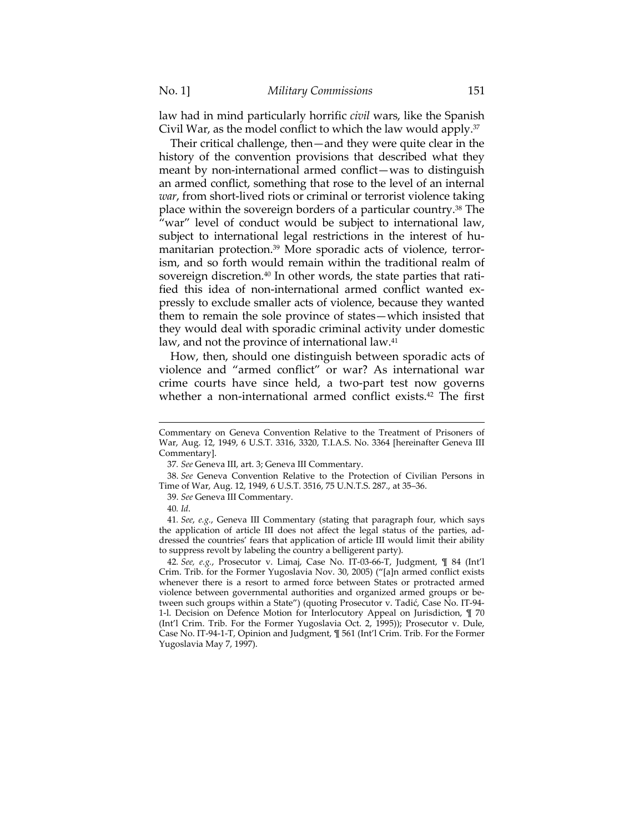law had in mind particularly horrific *civil* wars, like the Spanish Civil War, as the model conflict to which the law would apply. $37$ 

Their critical challenge, then—and they were quite clear in the history of the convention provisions that described what they meant by non-international armed conflict—was to distinguish an armed conflict, something that rose to the level of an internal *war*, from short-lived riots or criminal or terrorist violence taking place within the sovereign borders of a particular country.38 The "war" level of conduct would be subject to international law, subject to international legal restrictions in the interest of humanitarian protection.39 More sporadic acts of violence, terrorism, and so forth would remain within the traditional realm of sovereign discretion.<sup>40</sup> In other words, the state parties that ratified this idea of non-international armed conflict wanted expressly to exclude smaller acts of violence, because they wanted them to remain the sole province of states—which insisted that they would deal with sporadic criminal activity under domestic law, and not the province of international law.<sup>41</sup>

How, then, should one distinguish between sporadic acts of violence and "armed conflict" or war? As international war crime courts have since held, a two-part test now governs whether a non-international armed conflict exists.42 The first

Commentary on Geneva Convention Relative to the Treatment of Prisoners of War, Aug. 12, 1949, 6 U.S.T. 3316, 3320, T.I.A.S. No. 3364 [hereinafter Geneva III Commentary].

<sup>37</sup>*. See* Geneva III, art. 3; Geneva III Commentary.

 <sup>38.</sup> *See* Geneva Convention Relative to the Protection of Civilian Persons in Time of War, Aug. 12, 1949, 6 U.S.T. 3516, 75 U.N.T.S. 287., at 35–36.

 <sup>39.</sup> *See* Geneva III Commentary.

<sup>40</sup>*. Id*.

<sup>41</sup>*. See*, *e.g.*, Geneva III Commentary (stating that paragraph four, which says the application of article III does not affect the legal status of the parties, addressed the countries' fears that application of article III would limit their ability to suppress revolt by labeling the country a belligerent party).

<sup>42</sup>*. See, e.g.*, Prosecutor v. Limaj, Case No. IT-03-66-T, Judgment, ¶ 84 (Int'l Crim. Trib. for the Former Yugoslavia Nov. 30, 2005) ("[a]n armed conflict exists whenever there is a resort to armed force between States or protracted armed violence between governmental authorities and organized armed groups or between such groups within a State") (quoting Prosecutor v. Tadić, Case No. IT-94- 1-l. Decision on Defence Motion for Interlocutory Appeal on Jurisdiction, ¶ 70 (Int'l Crim. Trib. For the Former Yugoslavia Oct. 2, 1995)); Prosecutor v. Dule, Case No. IT-94-1-T, Opinion and Judgment, ¶ 561 (Int'l Crim. Trib. For the Former Yugoslavia May 7, 1997).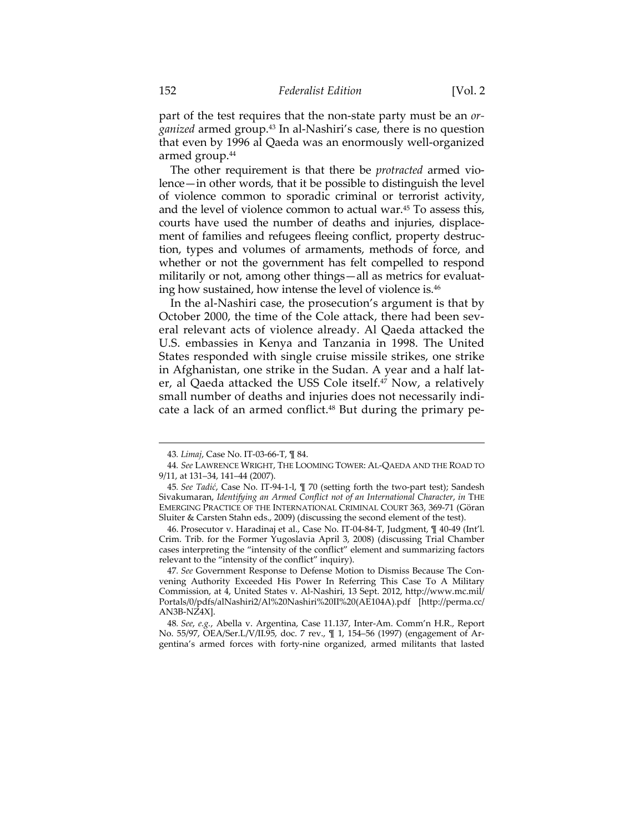part of the test requires that the non-state party must be an *organized* armed group.43 In al-Nashiri's case, there is no question that even by 1996 al Qaeda was an enormously well-organized armed group.<sup>44</sup>

The other requirement is that there be *protracted* armed violence—in other words, that it be possible to distinguish the level of violence common to sporadic criminal or terrorist activity, and the level of violence common to actual war.45 To assess this, courts have used the number of deaths and injuries, displacement of families and refugees fleeing conflict, property destruction, types and volumes of armaments, methods of force, and whether or not the government has felt compelled to respond militarily or not, among other things—all as metrics for evaluating how sustained, how intense the level of violence is.46

In the al-Nashiri case, the prosecution's argument is that by October 2000, the time of the Cole attack, there had been several relevant acts of violence already. Al Qaeda attacked the U.S. embassies in Kenya and Tanzania in 1998. The United States responded with single cruise missile strikes, one strike in Afghanistan, one strike in the Sudan. A year and a half later, al Qaeda attacked the USS Cole itself.<sup>47</sup> Now, a relatively small number of deaths and injuries does not necessarily indicate a lack of an armed conflict.<sup>48</sup> But during the primary pe-

<u> 1989 - Johann Stein, marwolaethau a bhann an t-Amhain an t-Amhain an t-Amhain an t-Amhain an t-Amhain an t-A</u>

48*. See*, *e.g.*, Abella v. Argentina, Case 11.137, Inter-Am. Comm'n H.R., Report No. 55/97, OEA/Ser.L/V/II.95, doc. 7 rev., ¶ 1, 154–56 (1997) (engagement of Argentina's armed forces with forty-nine organized, armed militants that lasted

<sup>43</sup>*. Limaj*, Case No. IT-03-66-T, ¶ 84.

<sup>44</sup>*. See* LAWRENCE WRIGHT, THE LOOMING TOWER: AL-QAEDA AND THE ROAD TO 9/11, at 131–34, 141–44 (2007).

<sup>45</sup>*. See Tadić*, Case No. IT-94-1-l, ¶ 70 (setting forth the two-part test); Sandesh Sivakumaran, *Identifying an Armed Conflict not of an International Character*, *in* THE EMERGING PRACTICE OF THE INTERNATIONAL CRIMINAL COURT 363, 369-71 (Göran Sluiter & Carsten Stahn eds., 2009) (discussing the second element of the test).

 <sup>46.</sup> Prosecutor v. Haradinaj et al., Case No. IT-04-84-T, Judgment, ¶ 40-49 (Int'l. Crim. Trib. for the Former Yugoslavia April 3, 2008) (discussing Trial Chamber cases interpreting the "intensity of the conflict" element and summarizing factors relevant to the "intensity of the conflict" inquiry).

<sup>47</sup>*. See* Government Response to Defense Motion to Dismiss Because The Convening Authority Exceeded His Power In Referring This Case To A Military Commission, at 4, United States v. Al-Nashiri, 13 Sept. 2012, http://www.mc.mil/ Portals/0/pdfs/alNashiri2/Al%20Nashiri%20II%20(AE104A).pdf [http://perma.cc/ AN3B-NZ4X].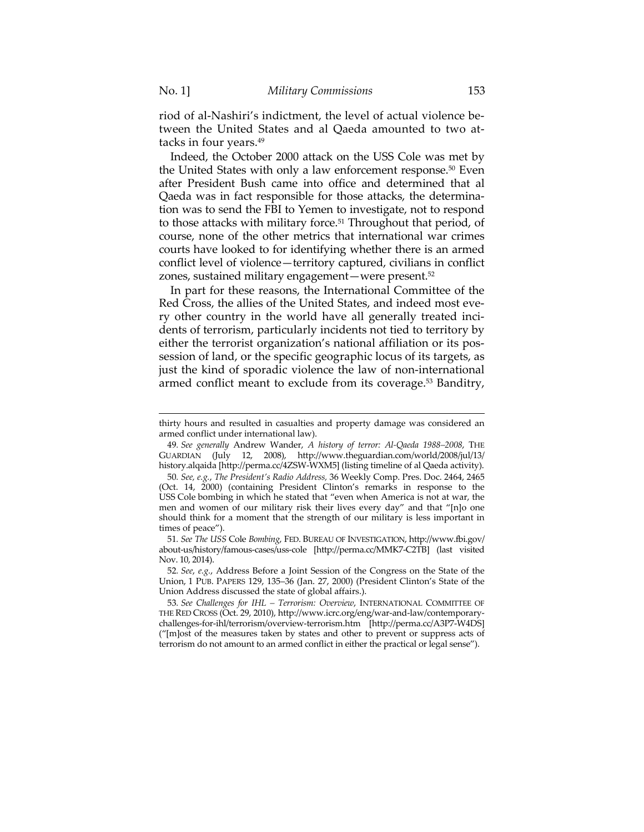riod of al-Nashiri's indictment, the level of actual violence between the United States and al Qaeda amounted to two attacks in four years.49

Indeed, the October 2000 attack on the USS Cole was met by the United States with only a law enforcement response.<sup>50</sup> Even after President Bush came into office and determined that al Qaeda was in fact responsible for those attacks, the determination was to send the FBI to Yemen to investigate, not to respond to those attacks with military force.<sup>51</sup> Throughout that period, of course, none of the other metrics that international war crimes courts have looked to for identifying whether there is an armed conflict level of violence—territory captured, civilians in conflict zones, sustained military engagement—were present.52

In part for these reasons, the International Committee of the Red Cross, the allies of the United States, and indeed most every other country in the world have all generally treated incidents of terrorism, particularly incidents not tied to territory by either the terrorist organization's national affiliation or its possession of land, or the specific geographic locus of its targets, as just the kind of sporadic violence the law of non-international armed conflict meant to exclude from its coverage.<sup>53</sup> Banditry,

51*. See The USS* Cole *Bombing*, FED. BUREAU OF INVESTIGATION, http://www.fbi.gov/ about-us/history/famous-cases/uss-cole [http://perma.cc/MMK7-C2TB] (last visited Nov. 10, 2014).

52*. See*, *e.g.*, Address Before a Joint Session of the Congress on the State of the Union, 1 PUB. PAPERS 129, 135–36 (Jan. 27, 2000) (President Clinton's State of the Union Address discussed the state of global affairs.).

53*. See Challenges for IHL – Terrorism: Overview*, INTERNATIONAL COMMITTEE OF THE RED CROSS (Oct. 29, 2010), http://www.icrc.org/eng/war-and-law/contemporarychallenges-for-ihl/terrorism/overview-terrorism.htm [http://perma.cc/A3P7-W4DS] ("[m]ost of the measures taken by states and other to prevent or suppress acts of terrorism do not amount to an armed conflict in either the practical or legal sense").

<sup>&</sup>lt;u> 1989 - Johann Stein, marwolaethau a bhann an t-Amhain an t-Amhain an t-Amhain an t-Amhain an t-Amhain an t-A</u> thirty hours and resulted in casualties and property damage was considered an armed conflict under international law).

<sup>49</sup>*. See generally* Andrew Wander, *A history of terror: Al-Qaeda 1988–2008*, THE GUARDIAN (July 12, 2008), http://www.theguardian.com/world/2008/jul/13/ history.alqaida [http://perma.cc/4ZSW-WXM5] (listing timeline of al Qaeda activity).

<sup>50</sup>*. See, e.g.*, *The President's Radio Address,* 36 Weekly Comp. Pres. Doc. 2464, 2465 (Oct. 14, 2000) (containing President Clinton's remarks in response to the USS Cole bombing in which he stated that "even when America is not at war, the men and women of our military risk their lives every day" and that "[n]o one should think for a moment that the strength of our military is less important in times of peace").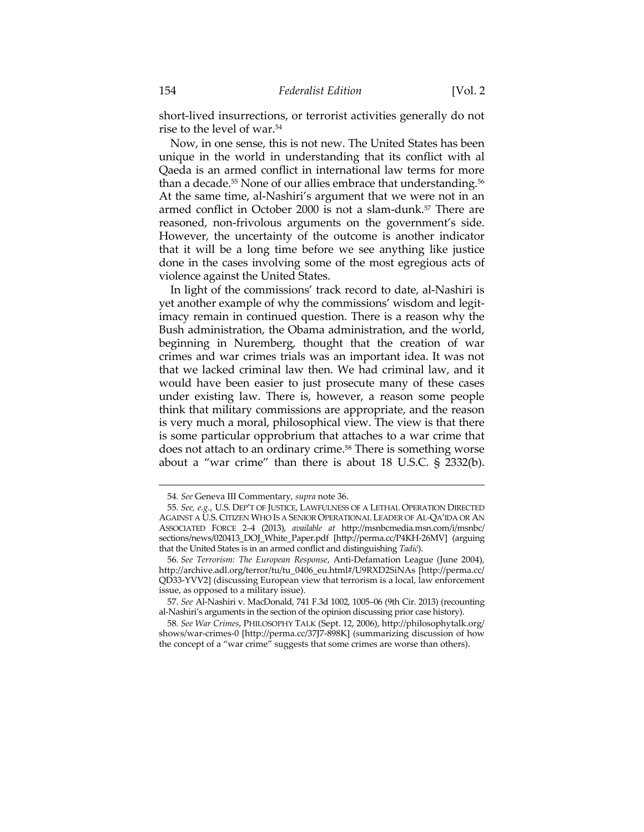short-lived insurrections, or terrorist activities generally do not rise to the level of war.54

Now, in one sense, this is not new. The United States has been unique in the world in understanding that its conflict with al Qaeda is an armed conflict in international law terms for more than a decade.<sup>55</sup> None of our allies embrace that understanding.<sup>56</sup> At the same time, al-Nashiri's argument that we were not in an armed conflict in October 2000 is not a slam-dunk.57 There are reasoned, non-frivolous arguments on the government's side. However, the uncertainty of the outcome is another indicator that it will be a long time before we see anything like justice done in the cases involving some of the most egregious acts of violence against the United States.

In light of the commissions' track record to date, al-Nashiri is yet another example of why the commissions' wisdom and legitimacy remain in continued question. There is a reason why the Bush administration, the Obama administration, and the world, beginning in Nuremberg, thought that the creation of war crimes and war crimes trials was an important idea. It was not that we lacked criminal law then. We had criminal law, and it would have been easier to just prosecute many of these cases under existing law. There is, however, a reason some people think that military commissions are appropriate, and the reason is very much a moral, philosophical view. The view is that there is some particular opprobrium that attaches to a war crime that does not attach to an ordinary crime.<sup>58</sup> There is something worse about a "war crime" than there is about 18 U.S.C. § 2332(b).

<sup>54</sup>*. See* Geneva III Commentary, *supra* note 36.

<sup>55</sup>*. See, e.g.*, U.S. DEP'T OF JUSTICE, LAWFULNESS OF A LETHAL OPERATION DIRECTED AGAINST A U.S. CITIZEN WHO IS A SENIOR OPERATIONAL LEADER OF AL-QA'IDA OR AN ASSOCIATED FORCE 2–4 (2013), *available at* http://msnbcmedia.msn.com/i/msnbc/ sections/news/020413\_DOJ\_White\_Paper.pdf [http://perma.cc/P4KH-26MV] (arguing that the United States is in an armed conflict and distinguishing *Tadić*).

<sup>56</sup>*. See Terrorism: The European Response*, Anti-Defamation League (June 2004), http://archive.adl.org/terror/tu/tu\_0406\_eu.html#/U9RXD2SiNAs [http://perma.cc/ QD33-YVV2] (discussing European view that terrorism is a local, law enforcement issue, as opposed to a military issue).

 <sup>57.</sup> *See* Al-Nashiri v. MacDonald, 741 F.3d 1002, 1005–06 (9th Cir. 2013) (recounting al-Nashiri's arguments in the section of the opinion discussing prior case history).

<sup>58</sup>*. See War Crimes*, PHILOSOPHY TALK (Sept. 12, 2006), http://philosophytalk.org/ shows/war-crimes-0 [http://perma.cc/37J7-898K] (summarizing discussion of how the concept of a "war crime" suggests that some crimes are worse than others).